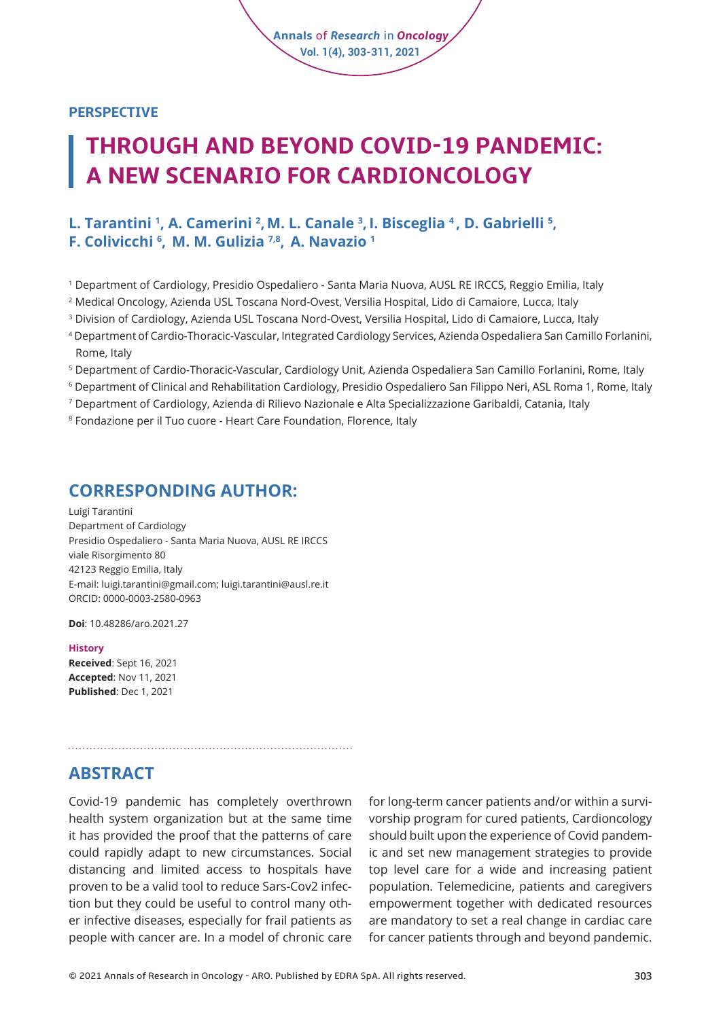#### **PERSPECTIVE**

# **THROUGH AND BEYOND COVID-19 PANDEMIC: A NEW SCENARIO FOR CARDIONCOLOGY**

**Annals** of *Research* in *Oncology* **Vol. 1(4), 303-311, 2021**

#### **l. Tarantini <sup>1</sup>, A. Camerini <sup>2</sup>, M. L. Canale <sup>3</sup>, I. Bisceglia <sup>4</sup>, D. Gabrielli <sup>5</sup>, F. Colivicchi 6 , M. M. Gulizia 7,8, A. Navazio <sup>1</sup>**

- 1 Department of Cardiology, Presidio Ospedaliero Santa Maria Nuova, AUSL RE IRCCS, Reggio Emilia, Italy
- 2 Medical Oncology, Azienda USL Toscana Nord-Ovest, Versilia Hospital, Lido di Camaiore, Lucca, Italy
- 3 Division of Cardiology, Azienda USL Toscana Nord-Ovest, Versilia Hospital, Lido di Camaiore, Lucca, Italy
- 4 Department of Cardio-Thoracic-Vascular, Integrated Cardiology Services, Azienda Ospedaliera San Camillo Forlanini, Rome, Italy
- 5 Department of Cardio-Thoracic-Vascular, Cardiology Unit, Azienda Ospedaliera San Camillo Forlanini, Rome, Italy
- $^{\rm 6}$  Department of Clinical and Rehabilitation Cardiology, Presidio Ospedaliero San Filippo Neri, ASL Roma 1, Rome, Italy
- 7 Department of Cardiology, Azienda di Rilievo Nazionale e Alta Specializzazione Garibaldi, Catania, Italy
- 8 Fondazione per il Tuo cuore Heart Care Foundation, Florence, Italy

#### **CORRESPONDING AUTHOR:**

Luigi Tarantini Department of Cardiology Presidio Ospedaliero - Santa Maria Nuova, AUSL RE IRCCS viale Risorgimento 80 42123 Reggio Emilia, Italy E-mail: luigi.tarantini@gmail.com; luigi.tarantini@ausl.re.it ORCID: 0000-0003-2580-0963

**Doi**: [10.48286/aro.2021.27](https://www.annals-research-oncology.com/through-and-beyond-covid-19-pandemic-a-new-scenario-for-cardioncology/)

#### **History**

**Received**: Sept 16, 2021 **Accepted**: Nov 11, 2021 **Published**: Dec 1, 2021

#### **ABSTRACT**

Covid-19 pandemic has completely overthrown health system organization but at the same time it has provided the proof that the patterns of care could rapidly adapt to new circumstances. Social distancing and limited access to hospitals have proven to be a valid tool to reduce Sars-Cov2 infection but they could be useful to control many other infective diseases, especially for frail patients as people with cancer are. In a model of chronic care

for long-term cancer patients and/or within a survivorship program for cured patients, Cardioncology should built upon the experience of Covid pandemic and set new management strategies to provide top level care for a wide and increasing patient population. Telemedicine, patients and caregivers empowerment together with dedicated resources are mandatory to set a real change in cardiac care for cancer patients through and beyond pandemic.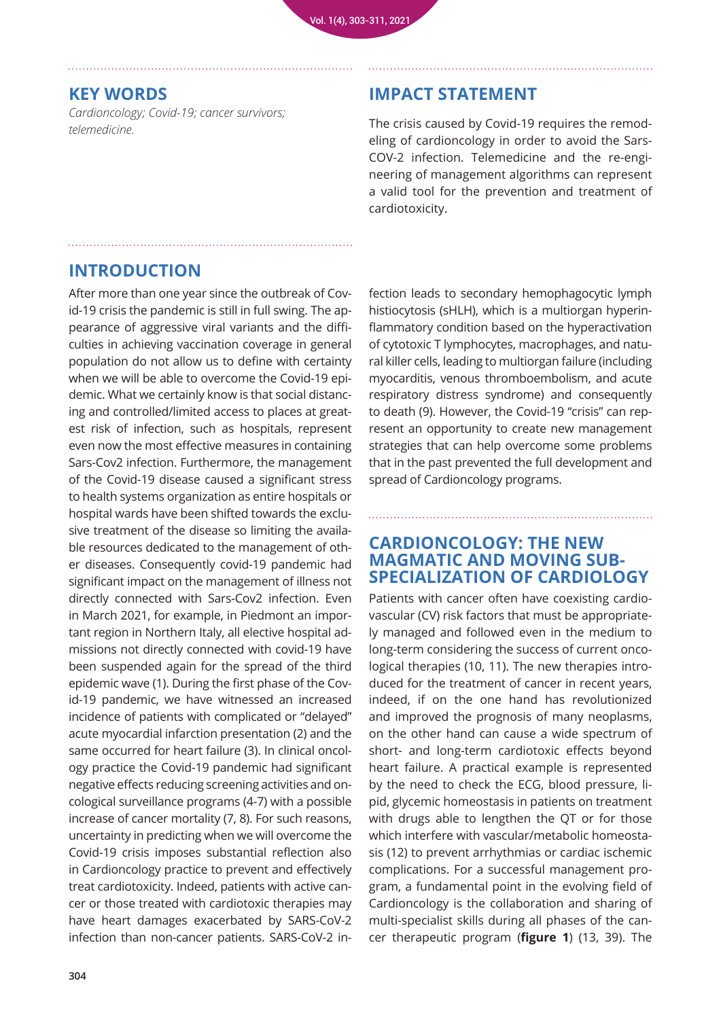### **KEY WORDS**

*Cardioncology; Covid-19; cancer survivors; telemedicine.*

## **IMPACT STATEMENT**

The crisis caused by Covid-19 requires the remodeling of cardioncology in order to avoid the Sars-COV-2 infection. Telemedicine and the re-engineering of management algorithms can represent a valid tool for the prevention and treatment of cardiotoxicity.

# **INTRODUCTION**

After more than one year since the outbreak of Covid-19 crisis the pandemic is still in full swing. The appearance of aggressive viral variants and the difficulties in achieving vaccination coverage in general population do not allow us to define with certainty when we will be able to overcome the Covid-19 epidemic. What we certainly know is that social distancing and controlled/limited access to places at greatest risk of infection, such as hospitals, represent even now the most effective measures in containing Sars-Cov2 infection. Furthermore, the management of the Covid-19 disease caused a significant stress to health systems organization as entire hospitals or hospital wards have been shifted towards the exclusive treatment of the disease so limiting the available resources dedicated to the management of other diseases. Consequently covid-19 pandemic had significant impact on the management of illness not directly connected with Sars-Cov2 infection. Even in March 2021, for example, in Piedmont an important region in Northern Italy, all elective hospital admissions not directly connected with covid-19 have been suspended again for the spread of the third epidemic wave (1). During the first phase of the Covid-19 pandemic, we have witnessed an increased incidence of patients with complicated or "delayed" acute myocardial infarction presentation (2) and the same occurred for heart failure (3). In clinical oncology practice the Covid-19 pandemic had significant negative effects reducing screening activities and oncological surveillance programs (4-7) with a possible increase of cancer mortality (7, 8). For such reasons, uncertainty in predicting when we will overcome the Covid-19 crisis imposes substantial reflection also in Cardioncology practice to prevent and effectively treat cardiotoxicity. Indeed, patients with active cancer or those treated with cardiotoxic therapies may have heart damages exacerbated by SARS-CoV-2 infection than non-cancer patients. SARS-CoV-2 infection leads to secondary hemophagocytic lymph histiocytosis (sHLH), which is a multiorgan hyperinflammatory condition based on the hyperactivation of cytotoxic T lymphocytes, macrophages, and natural killer cells, leading to multiorgan failure (including myocarditis, venous thromboembolism, and acute respiratory distress syndrome) and consequently to death (9). However, the Covid-19 "crisis" can represent an opportunity to create new management strategies that can help overcome some problems that in the past prevented the full development and spread of Cardioncology programs.

### **CARDIONCOLOGY: THE NEW MAGMATIC AND MOVING SUB-SPECIALIZATION OF CARDIOLOGY**

Patients with cancer often have coexisting cardiovascular (CV) risk factors that must be appropriately managed and followed even in the medium to long-term considering the success of current oncological therapies (10, 11). The new therapies introduced for the treatment of cancer in recent years, indeed, if on the one hand has revolutionized and improved the prognosis of many neoplasms, on the other hand can cause a wide spectrum of short- and long-term cardiotoxic effects beyond heart failure. A practical example is represented by the need to check the ECG, blood pressure, lipid, glycemic homeostasis in patients on treatment with drugs able to lengthen the QT or for those which interfere with vascular/metabolic homeostasis (12) to prevent arrhythmias or cardiac ischemic complications. For a successful management program, a fundamental point in the evolving field of Cardioncology is the collaboration and sharing of multi-specialist skills during all phases of the cancer therapeutic program (**figure 1**) (13, 39). The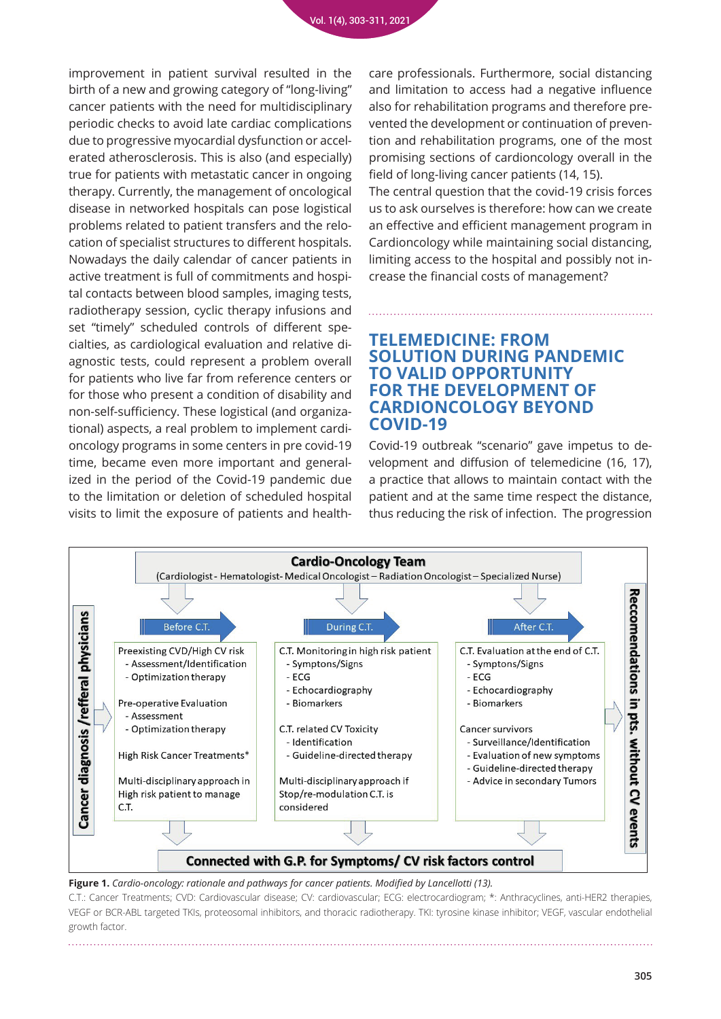improvement in patient survival resulted in the birth of a new and growing category of "long-living" cancer patients with the need for multidisciplinary periodic checks to avoid late cardiac complications due to progressive myocardial dysfunction or accelerated atherosclerosis. This is also (and especially) true for patients with metastatic cancer in ongoing therapy. Currently, the management of oncological disease in networked hospitals can pose logistical problems related to patient transfers and the relocation of specialist structures to different hospitals. Nowadays the daily calendar of cancer patients in active treatment is full of commitments and hospital contacts between blood samples, imaging tests, radiotherapy session, cyclic therapy infusions and set "timely" scheduled controls of different specialties, as cardiological evaluation and relative diagnostic tests, could represent a problem overall for patients who live far from reference centers or for those who present a condition of disability and non-self-sufficiency. These logistical (and organizational) aspects, a real problem to implement cardioncology programs in some centers in pre covid-19 time, became even more important and generalized in the period of the Covid-19 pandemic due to the limitation or deletion of scheduled hospital visits to limit the exposure of patients and healthcare professionals. Furthermore, social distancing and limitation to access had a negative influence also for rehabilitation programs and therefore prevented the development or continuation of prevention and rehabilitation programs, one of the most promising sections of cardioncology overall in the field of long-living cancer patients (14, 15). The central question that the covid-19 crisis forces us to ask ourselves is therefore: how can we create an effective and efficient management program in Cardioncology while maintaining social distancing, limiting access to the hospital and possibly not increase the financial costs of management?

#### **TELEMEDICINE: FROM SOLUTION DURING PANDEMIC TO VALID OPPORTUNITY FOR THE DEVELOPMENT OF CARDIONCOLOGY BEYOND COVID-19**

Covid-19 outbreak "scenario" gave impetus to development and diffusion of telemedicine (16, 17), a practice that allows to maintain contact with the patient and at the same time respect the distance, thus reducing the risk of infection. The progression



**Figure 1.** *Cardio-oncology: rationale and pathways for cancer patients. Modified by Lancellotti (13).*

C.T.: Cancer Treatments; CVD: Cardiovascular disease; CV: cardiovascular; ECG: electrocardiogram; \*: Anthracyclines, anti-HER2 therapies, VEGF or BCR-ABL targeted TKIs, proteosomal inhibitors, and thoracic radiotherapy. TKI: tyrosine kinase inhibitor; VEGF, vascular endothelial growth factor.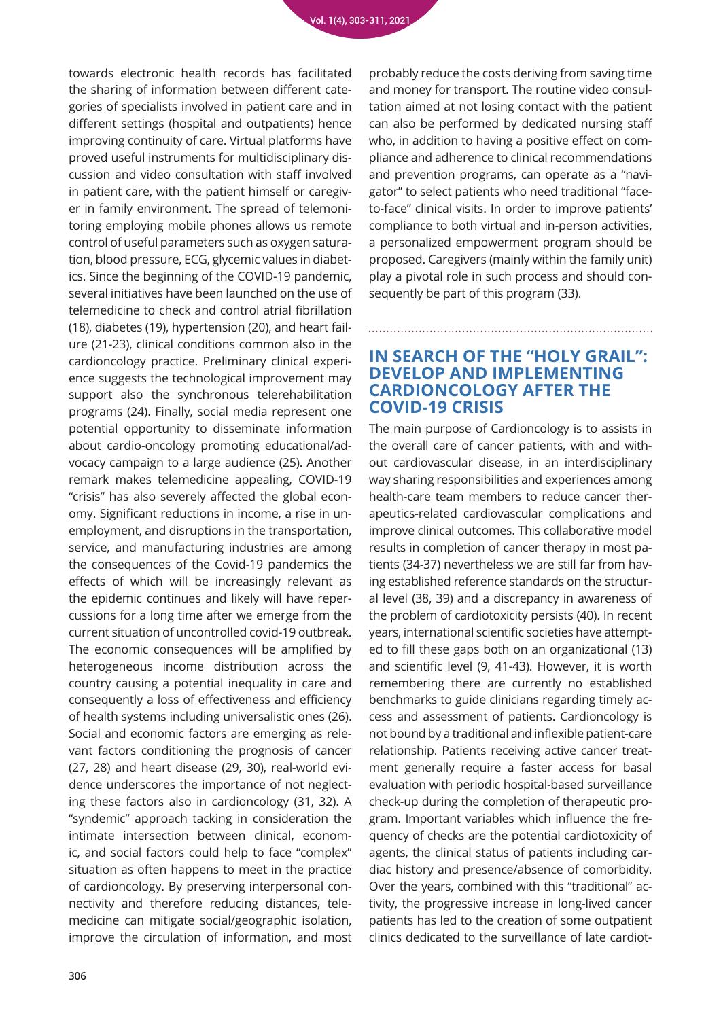towards electronic health records has facilitated the sharing of information between different categories of specialists involved in patient care and in different settings (hospital and outpatients) hence improving continuity of care. Virtual platforms have proved useful instruments for multidisciplinary discussion and video consultation with staff involved in patient care, with the patient himself or caregiver in family environment. The spread of telemonitoring employing mobile phones allows us remote control of useful parameters such as oxygen saturation, blood pressure, ECG, glycemic values in diabetics. Since the beginning of the COVID-19 pandemic, several initiatives have been launched on the use of telemedicine to check and control atrial fibrillation (18), diabetes (19), hypertension (20), and heart failure (21-23), clinical conditions common also in the cardioncology practice. Preliminary clinical experience suggests the technological improvement may support also the synchronous telerehabilitation programs (24). Finally, social media represent one potential opportunity to disseminate information about cardio-oncology promoting educational/advocacy campaign to a large audience (25). Another remark makes telemedicine appealing, COVID-19 "crisis" has also severely affected the global economy. Significant reductions in income, a rise in unemployment, and disruptions in the transportation, service, and manufacturing industries are among the consequences of the Covid-19 pandemics the effects of which will be increasingly relevant as the epidemic continues and likely will have repercussions for a long time after we emerge from the current situation of uncontrolled covid-19 outbreak. The economic consequences will be amplified by heterogeneous income distribution across the country causing a potential inequality in care and consequently a loss of effectiveness and efficiency of health systems including universalistic ones (26). Social and economic factors are emerging as relevant factors conditioning the prognosis of cancer (27, 28) and heart disease (29, 30), real-world evidence underscores the importance of not neglecting these factors also in cardioncology (31, 32). A "syndemic" approach tacking in consideration the intimate intersection between clinical, economic, and social factors could help to face "complex" situation as often happens to meet in the practice of cardioncology. By preserving interpersonal connectivity and therefore reducing distances, telemedicine can mitigate social/geographic isolation, improve the circulation of information, and most

probably reduce the costs deriving from saving time and money for transport. The routine video consultation aimed at not losing contact with the patient can also be performed by dedicated nursing staff who, in addition to having a positive effect on compliance and adherence to clinical recommendations and prevention programs, can operate as a "navigator" to select patients who need traditional "faceto-face" clinical visits. In order to improve patients' compliance to both virtual and in-person activities, a personalized empowerment program should be proposed. Caregivers (mainly within the family unit) play a pivotal role in such process and should consequently be part of this program (33).

#### **IN SEARCH OF THE "HOLY GRAIL": DEVELOP AND IMPLEMENTING CARDIONCOLOGY AFTER THE COVID-19 CRISIS**

The main purpose of Cardioncology is to assists in the overall care of cancer patients, with and without cardiovascular disease, in an interdisciplinary way sharing responsibilities and experiences among health-care team members to reduce cancer therapeutics-related cardiovascular complications and improve clinical outcomes. This collaborative model results in completion of cancer therapy in most patients (34-37) nevertheless we are still far from having established reference standards on the structural level (38, 39) and a discrepancy in awareness of the problem of cardiotoxicity persists (40). In recent years, international scientific societies have attempted to fill these gaps both on an organizational (13) and scientific level (9, 41-43). However, it is worth remembering there are currently no established benchmarks to guide clinicians regarding timely access and assessment of patients. Cardioncology is not bound by a traditional and inflexible patient-care relationship. Patients receiving active cancer treatment generally require a faster access for basal evaluation with periodic hospital-based surveillance check-up during the completion of therapeutic program. Important variables which influence the frequency of checks are the potential cardiotoxicity of agents, the clinical status of patients including cardiac history and presence/absence of comorbidity. Over the years, combined with this "traditional" activity, the progressive increase in long-lived cancer patients has led to the creation of some outpatient clinics dedicated to the surveillance of late cardiot-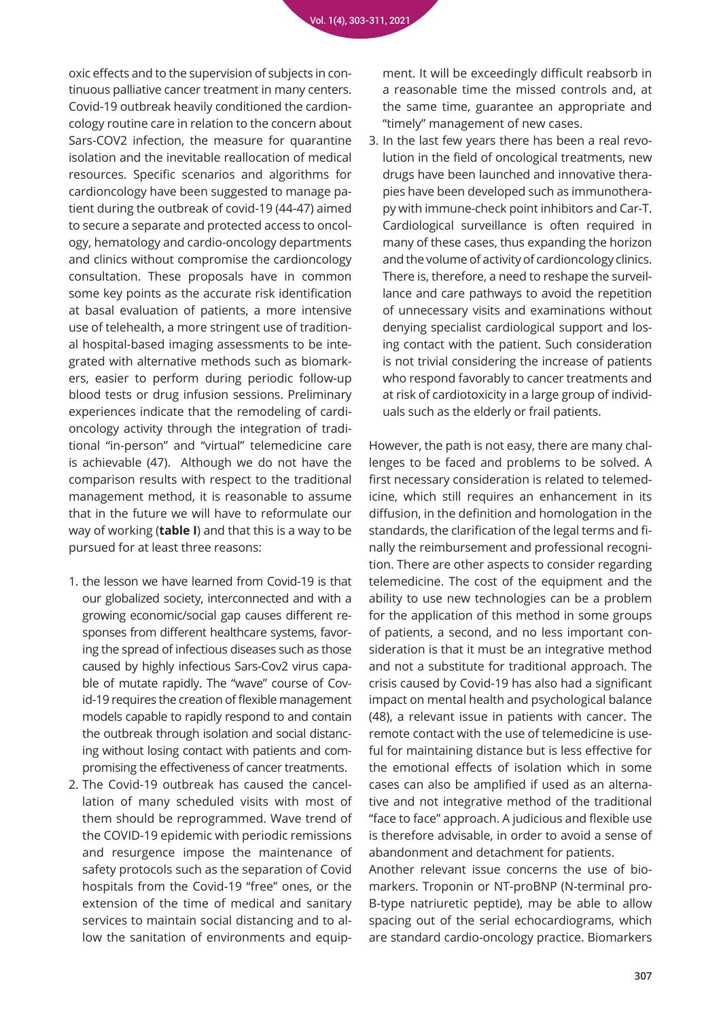oxic effects and to the supervision of subjects in continuous palliative cancer treatment in many centers. Covid-19 outbreak heavily conditioned the cardioncology routine care in relation to the concern about Sars-COV2 infection, the measure for quarantine isolation and the inevitable reallocation of medical resources. Specific scenarios and algorithms for cardioncology have been suggested to manage patient during the outbreak of covid-19 (44-47) aimed to secure a separate and protected access to oncology, hematology and cardio-oncology departments and clinics without compromise the cardioncology consultation. These proposals have in common some key points as the accurate risk identification at basal evaluation of patients, a more intensive use of telehealth, a more stringent use of traditional hospital-based imaging assessments to be integrated with alternative methods such as biomarkers, easier to perform during periodic follow-up blood tests or drug infusion sessions. Preliminary experiences indicate that the remodeling of cardioncology activity through the integration of traditional "in-person" and "virtual" telemedicine care is achievable (47). Although we do not have the comparison results with respect to the traditional management method, it is reasonable to assume that in the future we will have to reformulate our way of working (**table I**) and that this is a way to be pursued for at least three reasons:

- 1. the lesson we have learned from Covid-19 is that our globalized society, interconnected and with a growing economic/social gap causes different responses from different healthcare systems, favoring the spread of infectious diseases such as those caused by highly infectious Sars-Cov2 virus capable of mutate rapidly. The "wave" course of Covid-19 requires the creation of flexible management models capable to rapidly respond to and contain the outbreak through isolation and social distancing without losing contact with patients and compromising the effectiveness of cancer treatments.
- 2. The Covid-19 outbreak has caused the cancellation of many scheduled visits with most of them should be reprogrammed. Wave trend of the COVID-19 epidemic with periodic remissions and resurgence impose the maintenance of safety protocols such as the separation of Covid hospitals from the Covid-19 "free" ones, or the extension of the time of medical and sanitary services to maintain social distancing and to allow the sanitation of environments and equip-

ment. It will be exceedingly difficult reabsorb in a reasonable time the missed controls and, at the same time, guarantee an appropriate and "timely" management of new cases.

3. In the last few years there has been a real revolution in the field of oncological treatments, new drugs have been launched and innovative therapies have been developed such as immunotherapy with immune-check point inhibitors and Car-T. Cardiological surveillance is often required in many of these cases, thus expanding the horizon and the volume of activity of cardioncology clinics. There is, therefore, a need to reshape the surveillance and care pathways to avoid the repetition of unnecessary visits and examinations without denying specialist cardiological support and losing contact with the patient. Such consideration is not trivial considering the increase of patients who respond favorably to cancer treatments and at risk of cardiotoxicity in a large group of individuals such as the elderly or frail patients.

However, the path is not easy, there are many challenges to be faced and problems to be solved. A first necessary consideration is related to telemedicine, which still requires an enhancement in its diffusion, in the definition and homologation in the standards, the clarification of the legal terms and finally the reimbursement and professional recognition. There are other aspects to consider regarding telemedicine. The cost of the equipment and the ability to use new technologies can be a problem for the application of this method in some groups of patients, a second, and no less important consideration is that it must be an integrative method and not a substitute for traditional approach. The crisis caused by Covid-19 has also had a significant impact on mental health and psychological balance (48), a relevant issue in patients with cancer. The remote contact with the use of telemedicine is useful for maintaining distance but is less effective for the emotional effects of isolation which in some cases can also be amplified if used as an alternative and not integrative method of the traditional "face to face" approach. A judicious and flexible use is therefore advisable, in order to avoid a sense of abandonment and detachment for patients.

Another relevant issue concerns the use of biomarkers. Troponin or NT-proBNP (N-terminal pro-B-type natriuretic peptide), may be able to allow spacing out of the serial echocardiograms, which are standard cardio-oncology practice. Biomarkers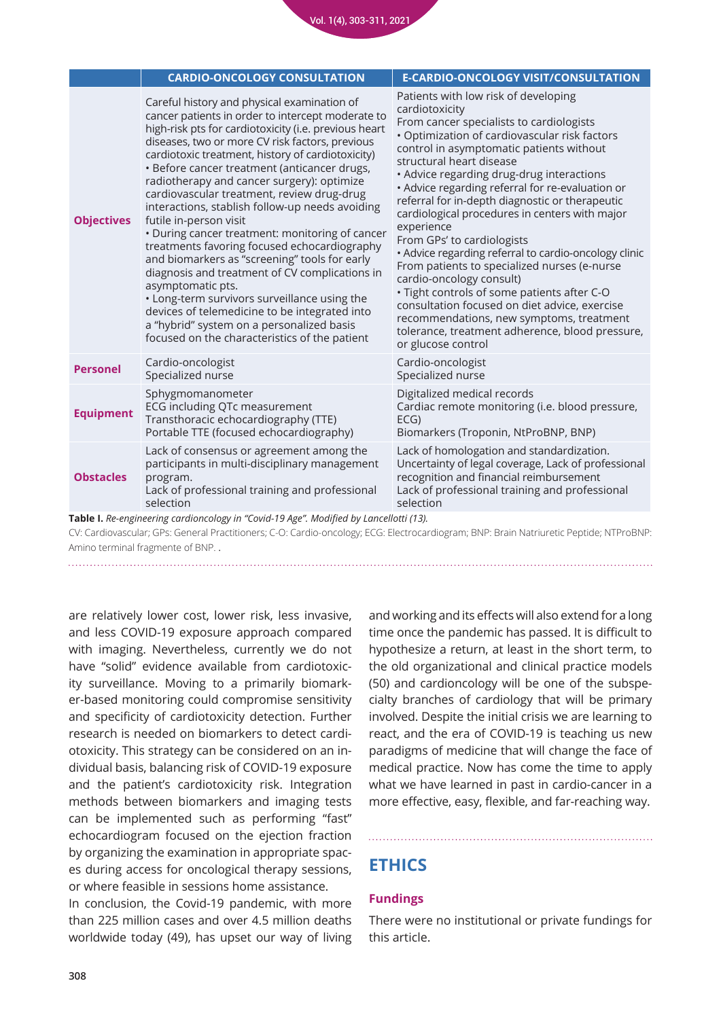|                                                                                                                                         | <b>CARDIO-ONCOLOGY CONSULTATION</b>                                                                                                                                                                                                                                                                                                                                                                                                                                                                                                                                                                                                                                                                                                                                                                                                                                                                                  | <b>E-CARDIO-ONCOLOGY VISIT/CONSULTATION</b>                                                                                                                                                                                                                                                                                                                                                                                                                                                                                                                                                                                                                                                                                                                                                                                             |
|-----------------------------------------------------------------------------------------------------------------------------------------|----------------------------------------------------------------------------------------------------------------------------------------------------------------------------------------------------------------------------------------------------------------------------------------------------------------------------------------------------------------------------------------------------------------------------------------------------------------------------------------------------------------------------------------------------------------------------------------------------------------------------------------------------------------------------------------------------------------------------------------------------------------------------------------------------------------------------------------------------------------------------------------------------------------------|-----------------------------------------------------------------------------------------------------------------------------------------------------------------------------------------------------------------------------------------------------------------------------------------------------------------------------------------------------------------------------------------------------------------------------------------------------------------------------------------------------------------------------------------------------------------------------------------------------------------------------------------------------------------------------------------------------------------------------------------------------------------------------------------------------------------------------------------|
| <b>Objectives</b>                                                                                                                       | Careful history and physical examination of<br>cancer patients in order to intercept moderate to<br>high-risk pts for cardiotoxicity (i.e. previous heart<br>diseases, two or more CV risk factors, previous<br>cardiotoxic treatment, history of cardiotoxicity)<br>· Before cancer treatment (anticancer drugs,<br>radiotherapy and cancer surgery): optimize<br>cardiovascular treatment, review drug-drug<br>interactions, stablish follow-up needs avoiding<br>futile in-person visit<br>• During cancer treatment: monitoring of cancer<br>treatments favoring focused echocardiography<br>and biomarkers as "screening" tools for early<br>diagnosis and treatment of CV complications in<br>asymptomatic pts.<br>• Long-term survivors surveillance using the<br>devices of telemedicine to be integrated into<br>a "hybrid" system on a personalized basis<br>focused on the characteristics of the patient | Patients with low risk of developing<br>cardiotoxicity<br>From cancer specialists to cardiologists<br>· Optimization of cardiovascular risk factors<br>control in asymptomatic patients without<br>structural heart disease<br>• Advice regarding drug-drug interactions<br>• Advice regarding referral for re-evaluation or<br>referral for in-depth diagnostic or therapeutic<br>cardiological procedures in centers with major<br>experience<br>From GPs' to cardiologists<br>• Advice regarding referral to cardio-oncology clinic<br>From patients to specialized nurses (e-nurse<br>cardio-oncology consult)<br>· Tight controls of some patients after C-O<br>consultation focused on diet advice, exercise<br>recommendations, new symptoms, treatment<br>tolerance, treatment adherence, blood pressure,<br>or glucose control |
| <b>Personel</b>                                                                                                                         | Cardio-oncologist<br>Specialized nurse                                                                                                                                                                                                                                                                                                                                                                                                                                                                                                                                                                                                                                                                                                                                                                                                                                                                               | Cardio-oncologist<br>Specialized nurse                                                                                                                                                                                                                                                                                                                                                                                                                                                                                                                                                                                                                                                                                                                                                                                                  |
| <b>Equipment</b>                                                                                                                        | Sphygmomanometer<br>ECG including QTc measurement<br>Transthoracic echocardiography (TTE)<br>Portable TTE (focused echocardiography)                                                                                                                                                                                                                                                                                                                                                                                                                                                                                                                                                                                                                                                                                                                                                                                 | Digitalized medical records<br>Cardiac remote monitoring (i.e. blood pressure,<br>ECG)<br>Biomarkers (Troponin, NtProBNP, BNP)                                                                                                                                                                                                                                                                                                                                                                                                                                                                                                                                                                                                                                                                                                          |
| <b>Obstacles</b>                                                                                                                        | Lack of consensus or agreement among the<br>participants in multi-disciplinary management<br>program.<br>Lack of professional training and professional<br>selection                                                                                                                                                                                                                                                                                                                                                                                                                                                                                                                                                                                                                                                                                                                                                 | Lack of homologation and standardization.<br>Uncertainty of legal coverage, Lack of professional<br>recognition and financial reimbursement<br>Lack of professional training and professional<br>selection                                                                                                                                                                                                                                                                                                                                                                                                                                                                                                                                                                                                                              |
| Table I. Re-engineering cardioncology in "Covid-19 Age". Modified by Lancellotti (13).                                                  |                                                                                                                                                                                                                                                                                                                                                                                                                                                                                                                                                                                                                                                                                                                                                                                                                                                                                                                      |                                                                                                                                                                                                                                                                                                                                                                                                                                                                                                                                                                                                                                                                                                                                                                                                                                         |
| Cli Cardiauggaular: CDa: Canaral Drestitionara: C.O.: Cardia angglam: ECC: Flastrogordiagram: DND: Droin Natriuratio Dantida: NTDroDND: |                                                                                                                                                                                                                                                                                                                                                                                                                                                                                                                                                                                                                                                                                                                                                                                                                                                                                                                      |                                                                                                                                                                                                                                                                                                                                                                                                                                                                                                                                                                                                                                                                                                                                                                                                                                         |

CV: Cardiovascular; GPs: General Practitioners; C-O: Cardio-oncology; ECG: Electrocardiogram; BNP: Brain Natriuretic Peptide; NTProBNP: Amino terminal fragmente of BNP. .

are relatively lower cost, lower risk, less invasive, and less COVID-19 exposure approach compared with imaging. Nevertheless, currently we do not have "solid" evidence available from cardiotoxicity surveillance. Moving to a primarily biomarker-based monitoring could compromise sensitivity and specificity of cardiotoxicity detection. Further research is needed on biomarkers to detect cardiotoxicity. This strategy can be considered on an individual basis, balancing risk of COVID-19 exposure and the patient's cardiotoxicity risk. Integration methods between biomarkers and imaging tests can be implemented such as performing "fast" echocardiogram focused on the ejection fraction by organizing the examination in appropriate spaces during access for oncological therapy sessions, or where feasible in sessions home assistance.

In conclusion, the Covid-19 pandemic, with more than 225 million cases and over 4.5 million deaths worldwide today (49), has upset our way of living and working and its effects will also extend for a long time once the pandemic has passed. It is difficult to hypothesize a return, at least in the short term, to the old organizational and clinical practice models (50) and cardioncology will be one of the subspecialty branches of cardiology that will be primary involved. Despite the initial crisis we are learning to react, and the era of COVID-19 is teaching us new paradigms of medicine that will change the face of medical practice. Now has come the time to apply what we have learned in past in cardio-cancer in a more effective, easy, flexible, and far-reaching way.

# **ETHICS**

#### **Fundings**

There were no institutional or private fundings for this article.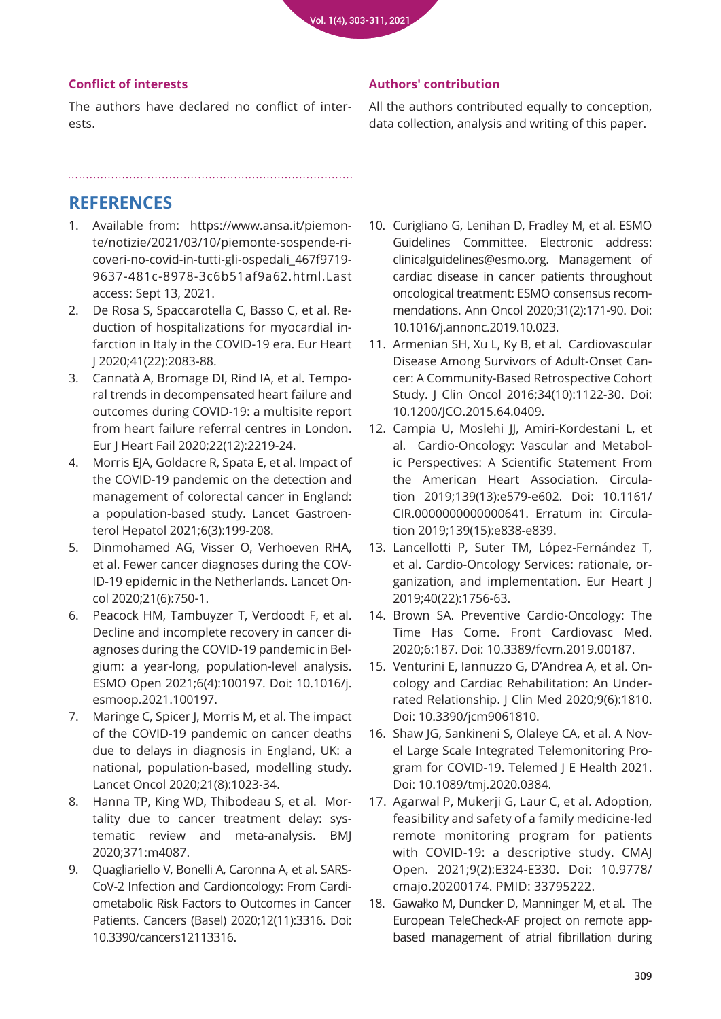#### **Conflict of interests**

The authors have declared no conflict of interests.

#### **Authors' contribution**

All the authors contributed equally to conception, data collection, analysis and writing of this paper.

# **REFERENCES**

- 1. Available from: https://www.ansa.it/piemonte/notizie/2021/03/10/piemonte-sospende-ricoveri-no-covid-in-tutti-gli-ospedali\_467f9719- 9637-481c-8978-3c6b51af9a62.html.Last access: Sept 13, 2021.
- 2. De Rosa S, Spaccarotella C, Basso C, et al. Reduction of hospitalizations for myocardial in[farction in Italy in the COVID-19 era. Eur Heart](https://pubmed.ncbi.nlm.nih.gov/32412631/)  J 2020;41(22):2083-88.
- 3. Cannatà A, Bromage DI, Rind IA, et al. Tempo[ral trends in decompensated heart failure and](https://pubmed.ncbi.nlm.nih.gov/32809274/)  outcomes during COVID-19: a multisite report from heart failure referral centres in London. Eur J Heart Fail 2020;22(12):2219-24.
- 4. [Morris EJA, Goldacre R, Spata E, et al. Impact of](https://pubmed.ncbi.nlm.nih.gov/33453763/)  the COVID-19 pandemic on the detection and management of colorectal cancer in England: a population-based study. Lancet Gastroenterol Hepatol 2021;6(3):199-208.
- 5. [Dinmohamed AG, Visser O, Verhoeven RHA,](https://pubmed.ncbi.nlm.nih.gov/32359403/)  et al. Fewer cancer diagnoses during the COV-ID-19 epidemic in the Netherlands. Lancet Oncol 2020;21(6):750-1.
- 6. [Peacock HM, Tambuyzer T, Verdoodt F, et al.](https://pubmed.ncbi.nlm.nih.gov/34474811/)  Decline and incomplete recovery in cancer diagnoses during the COVID-19 pandemic in Belgium: a year-long, population-level analysis. ESMO Open 2021;6(4):100197. Doi: 10.1016/j. esmoop.2021.100197.
- 7. [Maringe C, Spicer J, Morris M, et al. The impact](https://pubmed.ncbi.nlm.nih.gov/32702310/)  of the COVID-19 pandemic on cancer deaths due to delays in diagnosis in England, UK: a national, population-based, modelling study. Lancet Oncol 2020;21(8):1023-34.
- 8. Hanna TP, King WD, Thibodeau S, et al. Mortality due to cancer treatment delay: sys[tematic review and meta-analysis. BMJ](https://pubmed.ncbi.nlm.nih.gov/33148535/)  2020;371:m4087.
- 9. Quagliariello V, Bonelli A, Caronna A, et al. SARS-CoV-2 Infection and Cardioncology: From Cardi[ometabolic Risk Factors to Outcomes in Cancer](https://pubmed.ncbi.nlm.nih.gov/33182653/)  Patients. Cancers (Basel) 2020;12(11):3316. Doi: 10.3390/cancers12113316.
- 10. [Curigliano G, Lenihan D, Fradley M, et al. ESMO](https://pubmed.ncbi.nlm.nih.gov/31959335/)  Guidelines Committee. Electronic address: clinicalguidelines@esmo.org. Management of cardiac disease in cancer patients throughout oncological treatment: ESMO consensus recommendations. Ann Oncol 2020;31(2):171-90. Doi: 10.1016/j.annonc.2019.10.023.
- 11. Armenian SH, Xu L, Ky B, et al. Cardiovascular Disease Among Survivors of Adult-Onset Cancer: A Community-Based Retrospective Cohort [Study. J Clin Oncol 2016;34\(10\):1122-30. Doi:](https://pubmed.ncbi.nlm.nih.gov/26834065/)  10.1200/JCO.2015.64.0409.
- 12. [Campia U, Moslehi JJ, Amiri-Kordestani L, et](https://pubmed.ncbi.nlm.nih.gov/30786722/)  al. Cardio-Oncology: Vascular and Metabolic Perspectives: A Scientific Statement From the American Heart Association. Circulation 2019;139(13):e579-e602. Doi: 10.1161/ CIR.0000000000000641. Erratum in: Circulation 2019;139(15):e838-e839.
- 13. [Lancellotti P, Suter TM, López-Fernández T,](https://pubmed.ncbi.nlm.nih.gov/30085070/)  et al. Cardio-Oncology Services: rationale, organization, and implementation. Eur Heart J 2019;40(22):1756-63.
- 14. [Brown SA. Preventive Cardio-Oncology: The](https://pubmed.ncbi.nlm.nih.gov/31998754/)  Time Has Come. Front Cardiovasc Med. 2020;6:187. Doi: 10.3389/fcvm.2019.00187.
- 15. Venturini E, Iannuzzo G, D'Andrea A, et al. Oncology and Cardiac Rehabilitation: An Under[rated Relationship. J Clin Med 2020;9\(6\):1810.](https://pubmed.ncbi.nlm.nih.gov/32532011/)  Doi: 10.3390/jcm9061810.
- 16. Shaw JG, Sankineni S, Olaleye CA, et al. A Novel Large Scale Integrated Telemonitoring Pro[gram for COVID-19. Telemed J E Health 2021.](https://pubmed.ncbi.nlm.nih.gov/33544043/)  Doi: 10.1089/tmj.2020.0384.
- 17. [Agarwal P, Mukerji G, Laur C, et al. Adoption,](https://pubmed.ncbi.nlm.nih.gov/33795222/)  feasibility and safety of a family medicine-led remote monitoring program for patients with COVID-19: a descriptive study. CMAJ Open. 2021;9(2):E324-E330. Doi: 10.9778/ cmajo.20200174. PMID: 33795222.
- 18. [Gawałko M, Duncker D, Manninger M, et al. The](https://pubmed.ncbi.nlm.nih.gov/33822029/)  European TeleCheck-AF project on remote appbased management of atrial fibrillation during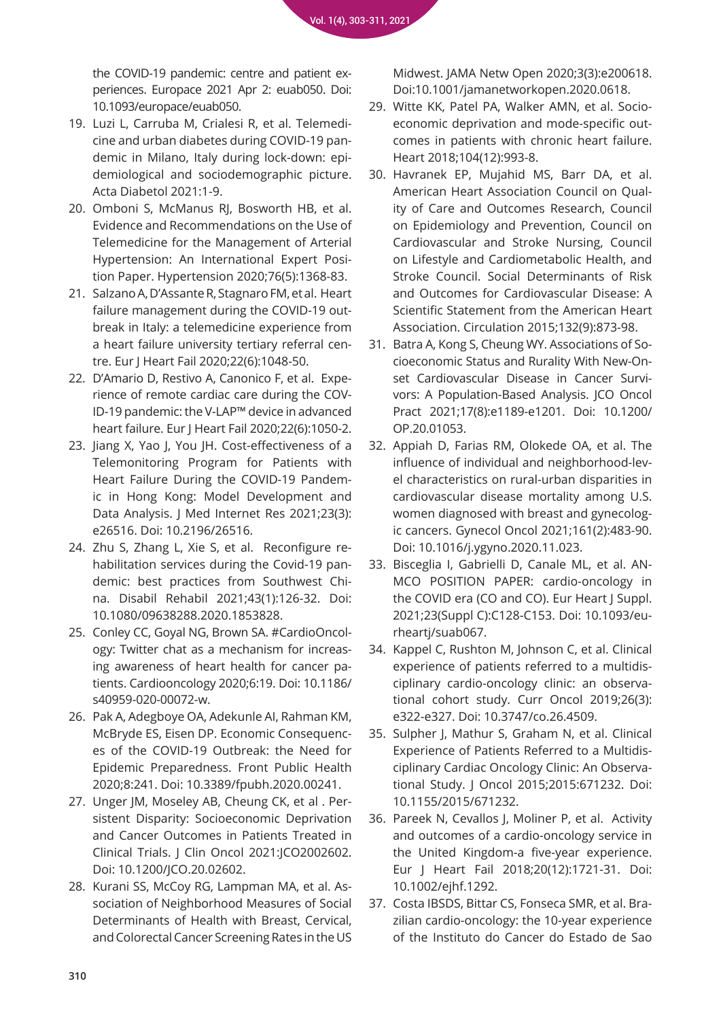the COVID-19 pandemic: centre and patient ex[periences. Europace 2021 Apr 2: euab050. Doi:](https://pubmed.ncbi.nlm.nih.gov/33822029/)  10.1093/europace/euab050.

- 19. Luzi L, Carruba M, Crialesi R, et al. Telemedicine and urban diabetes during COVID-19 pandemic in Milano, Italy during lock-down: epi[demiological and sociodemographic picture.](https://pubmed.ncbi.nlm.nih.gov/33740123/)  Acta Diabetol 2021:1-9.
- 20. [Omboni S, McManus RJ, Bosworth HB, et al.](https://pubmed.ncbi.nlm.nih.gov/32921195/)  Evidence and Recommendations on the Use of Telemedicine for the Management of Arterial Hypertension: An International Expert Position Paper. Hypertension 2020;76(5):1368-83.
- 21. [Salzano A, D'Assante R, Stagnaro FM, et al. Heart](https://pubmed.ncbi.nlm.nih.gov/32463534/)  failure management during the COVID-19 outbreak in Italy: a telemedicine experience from a heart failure university tertiary referral centre. Eur J Heart Fail 2020;22(6):1048-50.
- 22. D'Amario D, Restivo A, Canonico F, et al. Experience of remote cardiac care during the COV-[ID-19 pandemic: the V-LAP™ device in advanced](https://pubmed.ncbi.nlm.nih.gov/32431021/)  heart failure. Eur J Heart Fail 2020;22(6):1050-2.
- 23. [Jiang X, Yao J, You JH. Cost-effectiveness of a](https://pubmed.ncbi.nlm.nih.gov/33656440/)  Telemonitoring Program for Patients with Heart Failure During the COVID-19 Pandemic in Hong Kong: Model Development and Data Analysis. J Med Internet Res 2021;23(3): e26516. Doi: 10.2196/26516.
- 24. Zhu S, Zhang L, Xie S, et al. Reconfigure rehabilitation services during the Covid-19 pandemic: best practices from Southwest Chi[na. Disabil Rehabil 2021;43\(1\):126-32. Doi:](https://pubmed.ncbi.nlm.nih.gov/33280457/)  10.1080/09638288.2020.1853828.
- 25. [Conley CC, Goyal NG, Brown SA. #CardioOncol](https://pubmed.ncbi.nlm.nih.gov/32922861/)ogy: Twitter chat as a mechanism for increasing awareness of heart health for cancer patients. Cardiooncology 2020;6:19. Doi: 10.1186/ s40959-020-00072-w.
- 26. [Pak A, Adegboye OA, Adekunle AI, Rahman KM,](https://pubmed.ncbi.nlm.nih.gov/32574307/)  McBryde ES, Eisen DP. Economic Consequences of the COVID-19 Outbreak: the Need for Epidemic Preparedness. Front Public Health 2020;8:241. Doi: 10.3389/fpubh.2020.00241.
- 27. Unger JM, Moseley AB, Cheung CK, et al . Per[sistent Disparity: Socioeconomic Deprivation](https://pubmed.ncbi.nlm.nih.gov/33729825/)  and Cancer Outcomes in Patients Treated in Clinical Trials. J Clin Oncol 2021:JCO2002602. Doi: 10.1200/JCO.20.02602.
- 28. Kurani SS, McCoy RG, Lampman MA, et al. As[sociation of Neighborhood Measures of Social](https://pubmed.ncbi.nlm.nih.gov/32150271/)  Determinants of Health with Breast, Cervical, and Colorectal Cancer Screening Rates in the US

[Midwest. JAMA Netw Open 2020;3\(3\):e200618.](https://pubmed.ncbi.nlm.nih.gov/32150271/)  Doi:10.1001/jamanetworkopen.2020.0618.

- 29. Witte KK, Patel PA, Walker AMN, et al. Socioeconomic deprivation and mode-specific out[comes in patients with chronic heart failure.](https://pubmed.ncbi.nlm.nih.gov/29386325/)  Heart 2018;104(12):993-8.
- 30. [Havranek EP, Mujahid MS, Barr DA, et al.](https://pubmed.ncbi.nlm.nih.gov/26240271/)  American Heart Association Council on Quality of Care and Outcomes Research, Council on Epidemiology and Prevention, Council on Cardiovascular and Stroke Nursing, Council on Lifestyle and Cardiometabolic Health, and Stroke Council. Social Determinants of Risk and Outcomes for Cardiovascular Disease: A Scientific Statement from the American Heart Association. Circulation 2015;132(9):873-98.
- 31. Batra A, Kong S, Cheung WY. Associations of Socioeconomic Status and Rurality With New-Onset Cardiovascular Disease in Cancer Survi[vors: A Population-Based Analysis. JCO Oncol](https://pubmed.ncbi.nlm.nih.gov/34242068/)  Pract 2021;17(8):e1189-e1201. Doi: 10.1200/ OP.20.01053.
- 32. [Appiah D, Farias RM, Olokede OA, et al. The](https://pubmed.ncbi.nlm.nih.gov/33750605/)  influence of individual and neighborhood-level characteristics on rural-urban disparities in cardiovascular disease mortality among U.S. women diagnosed with breast and gynecologic cancers. Gynecol Oncol 2021;161(2):483-90. Doi: 10.1016/j.ygyno.2020.11.023.
- 33. Bisceglia I, Gabrielli D, Canale ML, et al. AN-[MCO POSITION PAPER: cardio-oncology in](https://pubmed.ncbi.nlm.nih.gov/34456641/)  the COVID era (CO and CO). Eur Heart J Suppl. 2021;23(Suppl C):C128-C153. Doi: 10.1093/eurheartj/suab067.
- 34. [Kappel C, Rushton M, Johnson C, et al. Clinical](https://pubmed.ncbi.nlm.nih.gov/31285675/)  experience of patients referred to a multidisciplinary cardio-oncology clinic: an observational cohort study. Curr Oncol 2019;26(3): e322-e327. Doi: 10.3747/co.26.4509.
- 35. [Sulpher J, Mathur S, Graham N, et al. Clinical](https://pubmed.ncbi.nlm.nih.gov/26300917/)  Experience of Patients Referred to a Multidisciplinary Cardiac Oncology Clinic: An Observational Study. J Oncol 2015;2015:671232. Doi: 10.1155/2015/671232.
- 36. [Pareek N, Cevallos J, Moliner P, et al. Activity](https://pubmed.ncbi.nlm.nih.gov/30191649/)  and outcomes of a cardio-oncology service in the United Kingdom-a five-year experience. Eur J Heart Fail 2018;20(12):1721-31. Doi: 10.1002/ejhf.1292.
- 37. Costa IBSDS, Bittar CS, Fonseca SMR, et al. Bra[zilian cardio-oncology: the 10-year experience](https://pubmed.ncbi.nlm.nih.gov/32345217/)  of the Instituto do Cancer do Estado de Sao